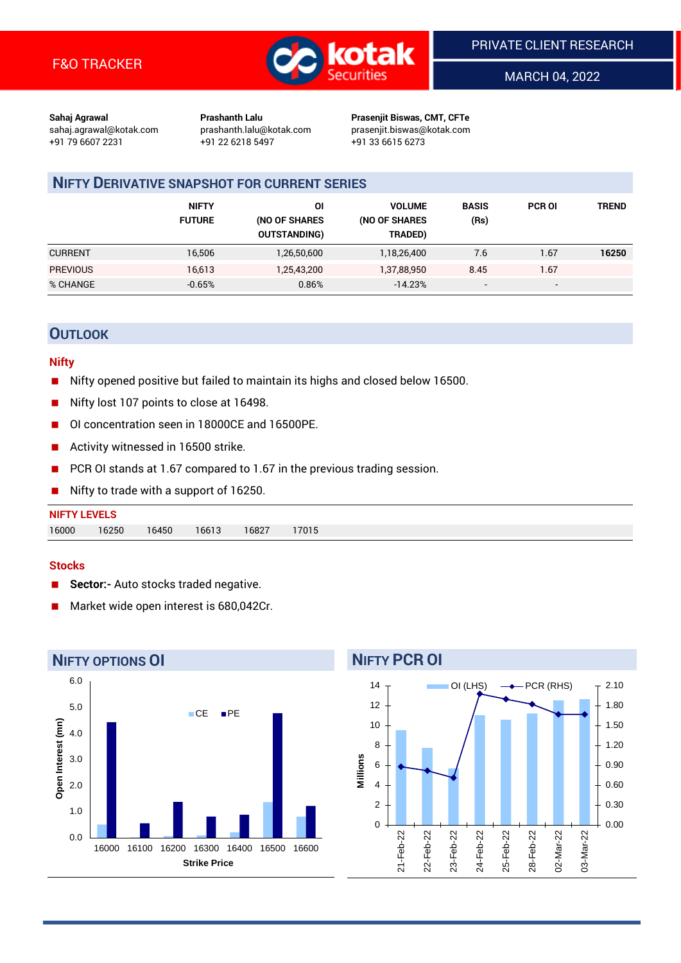

MARCH 04, 2022

**Sahaj Agrawal Prashanth Lalu Prasenjit Biswas, CMT, CFTe** +91 79 6607 2231 +91 22 6218 5497 +91 33 6615 6273

sahaj.agrawal@kotak.com [prashanth.lalu@kotak.com](mailto:prashanth.lalu@kotak.com) prasenjit.biswas@kotak.com

## **NIFTY DERIVATIVE SNAPSHOT FOR CURRENT SERIES**

|                 | <b>NIFTY</b><br><b>FUTURE</b> | ΟI<br>(NO OF SHARES<br><b>OUTSTANDING)</b> | <b>VOLUME</b><br>(NO OF SHARES<br>TRADED) | <b>BASIS</b><br>(Rs)     | <b>PCR OI</b> | TREND |
|-----------------|-------------------------------|--------------------------------------------|-------------------------------------------|--------------------------|---------------|-------|
| <b>CURRENT</b>  | 16,506                        | 1,26,50,600                                | 1,18,26,400                               | 7.6                      | 1.67          | 16250 |
| <b>PREVIOUS</b> | 16,613                        | 1,25,43,200                                | 1,37,88,950                               | 8.45                     | 1.67          |       |
| % CHANGE        | $-0.65%$                      | 0.86%                                      | $-14.23%$                                 | $\overline{\phantom{a}}$ | -             |       |

## **OUTLOOK**

#### **Nifty**

- Nifty opened positive but failed to maintain its highs and closed below 16500.
- Nifty lost 107 points to close at 16498.
- OI concentration seen in 18000CE and 16500PE.
- Activity witnessed in 16500 strike.
- PCR OI stands at 1.67 compared to 1.67 in the previous trading session.
- Nifty to trade with a support of 16250.

#### **Stocks**

- **Sector:-** Auto stocks traded negative.
- Market wide open interest is 680,042Cr.



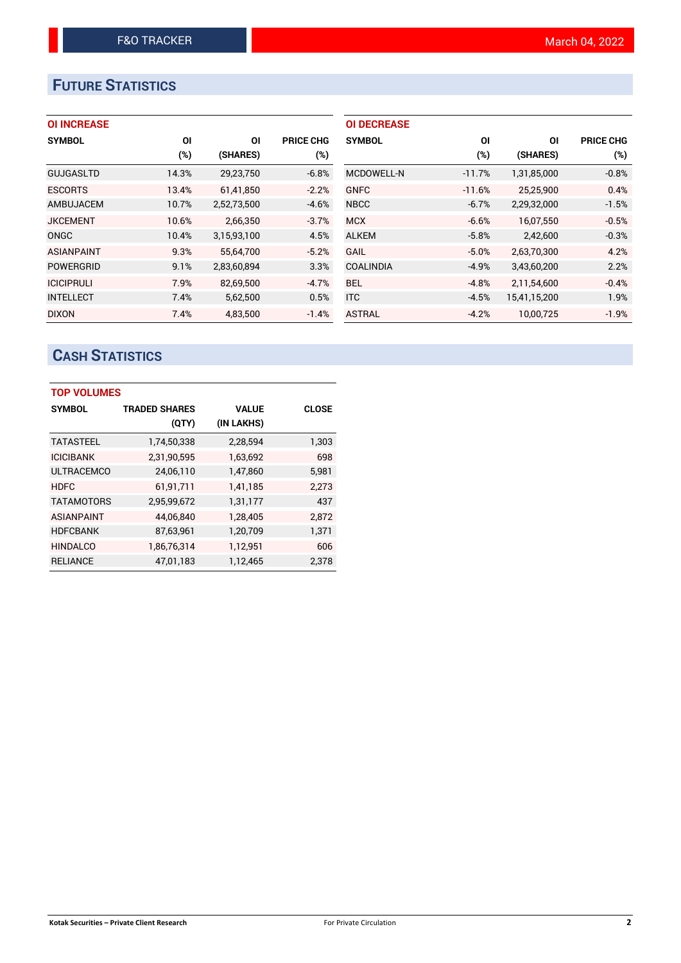# **FUTURE STATISTICS**

| <b>OI INCREASE</b> |       |             |                  | <b>OI DECREASE</b> |          |                |                  |
|--------------------|-------|-------------|------------------|--------------------|----------|----------------|------------------|
| <b>SYMBOL</b>      | ΟI    | ΟI          | <b>PRICE CHG</b> | <b>SYMBOL</b>      | ΟI       | O <sub>l</sub> | <b>PRICE CHG</b> |
|                    | (%)   | (SHARES)    | (%)              |                    | (%)      | (SHARES)       | (%)              |
| <b>GUJGASLTD</b>   | 14.3% | 29,23,750   | $-6.8%$          | <b>MCDOWELL-N</b>  | $-11.7%$ | 1,31,85,000    | $-0.8%$          |
| <b>ESCORTS</b>     | 13.4% | 61,41,850   | $-2.2%$          | <b>GNFC</b>        | $-11.6%$ | 25,25,900      | 0.4%             |
| AMBUJACEM          | 10.7% | 2,52,73,500 | $-4.6%$          | <b>NBCC</b>        | $-6.7%$  | 2,29,32,000    | $-1.5%$          |
| <b>JKCEMENT</b>    | 10.6% | 2,66,350    | $-3.7%$          | <b>MCX</b>         | $-6.6%$  | 16,07,550      | $-0.5%$          |
| ONGC               | 10.4% | 3,15,93,100 | 4.5%             | <b>ALKEM</b>       | $-5.8%$  | 2,42,600       | $-0.3%$          |
| <b>ASIANPAINT</b>  | 9.3%  | 55,64,700   | $-5.2%$          | <b>GAIL</b>        | $-5.0%$  | 2,63,70,300    | 4.2%             |
| <b>POWERGRID</b>   | 9.1%  | 2,83,60,894 | 3.3%             | <b>COALINDIA</b>   | $-4.9%$  | 3,43,60,200    | 2.2%             |
| <b>ICICIPRULI</b>  | 7.9%  | 82,69,500   | $-4.7%$          | <b>BEL</b>         | $-4.8%$  | 2,11,54,600    | $-0.4%$          |
| <b>INTELLECT</b>   | 7.4%  | 5,62,500    | 0.5%             | <b>ITC</b>         | $-4.5%$  | 15,41,15,200   | 1.9%             |
| <b>DIXON</b>       | 7.4%  | 4,83,500    | $-1.4%$          | <b>ASTRAL</b>      | $-4.2%$  | 10.00.725      | $-1.9%$          |

# **CASH STATISTICS**

| <b>TOP VOLUMES</b> |                      |              |              |  |  |  |  |  |
|--------------------|----------------------|--------------|--------------|--|--|--|--|--|
| <b>SYMBOL</b>      | <b>TRADED SHARES</b> | <b>VALUE</b> | <b>CLOSE</b> |  |  |  |  |  |
|                    | (QTY)                | (IN LAKHS)   |              |  |  |  |  |  |
| <b>TATASTEEL</b>   | 1,74,50,338          | 2,28,594     | 1,303        |  |  |  |  |  |
| <b>ICICIBANK</b>   | 2,31,90,595          | 1,63,692     | 698          |  |  |  |  |  |
| <b>ULTRACEMCO</b>  | 24,06,110            | 1,47,860     | 5,981        |  |  |  |  |  |
| <b>HDFC</b>        | 61,91,711            | 1,41,185     | 2,273        |  |  |  |  |  |
| <b>TATAMOTORS</b>  | 2,95,99,672          | 1,31,177     | 437          |  |  |  |  |  |
| <b>ASIANPAINT</b>  | 44,06,840            | 1,28,405     | 2,872        |  |  |  |  |  |
| <b>HDFCBANK</b>    | 87,63,961            | 1,20,709     | 1,371        |  |  |  |  |  |
| <b>HINDALCO</b>    | 1,86,76,314          | 1,12,951     | 606          |  |  |  |  |  |
| <b>RELIANCE</b>    | 47,01,183            | 1,12,465     | 2,378        |  |  |  |  |  |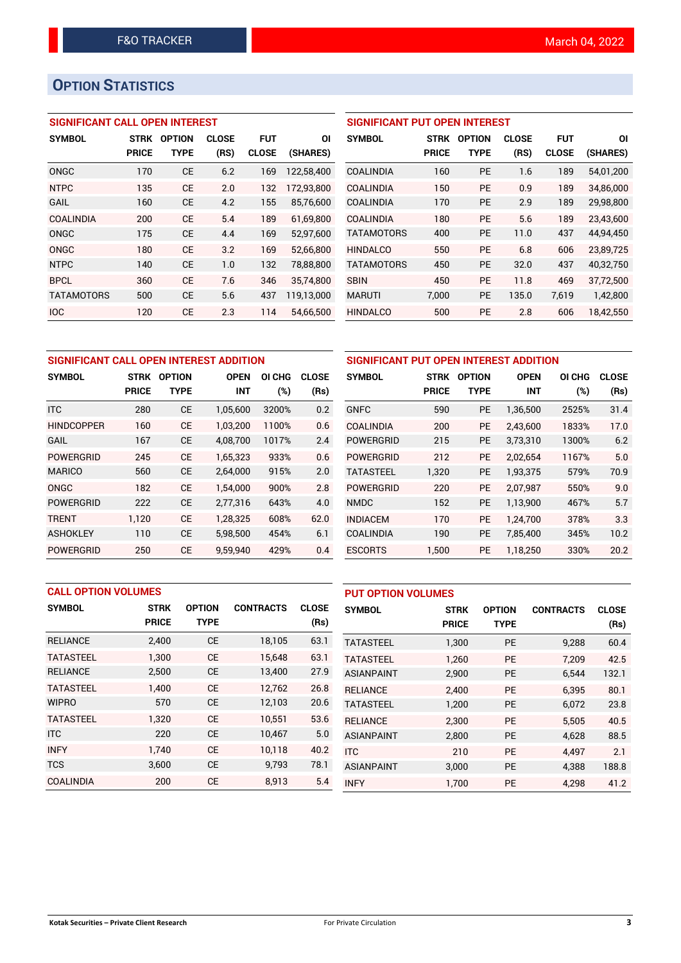# **OPTION STATISTICS**

## **SIGNIFICANT CALL OPEN INTEREST**

| <b>SYMBOL</b>     | <b>STRK</b>  | <b>OPTION</b> | <b>CLOSE</b> | <b>FUT</b>   | ΟI         |
|-------------------|--------------|---------------|--------------|--------------|------------|
|                   | <b>PRICE</b> | TYPE          | (RS)         | <b>CLOSE</b> | (SHARES)   |
| ONGC              | 170          | <b>CE</b>     | 6.2          | 169          | 122,58,400 |
| <b>NTPC</b>       | 135          | CF            | 2.0          | 132          | 172,93,800 |
| <b>GAIL</b>       | 160          | <b>CE</b>     | 4.2          | 155          | 85.76.600  |
| COALINDIA         | 200          | <b>CE</b>     | 5.4          | 189          | 61,69,800  |
| ONGC              | 175          | CE            | 4.4          | 169          | 52,97,600  |
| ONGC              | 180          | CE            | 3.2          | 169          | 52,66,800  |
| <b>NTPC</b>       | 140          | CE            | 1.0          | 132          | 78,88,800  |
| <b>BPCL</b>       | 360          | CE            | 7.6          | 346          | 35,74,800  |
| <b>TATAMOTORS</b> | 500          | CE            | 5.6          | 437          | 119,13,000 |
| <b>IOC</b>        | 120          | <b>CE</b>     | 2.3          | 114          | 54.66.500  |

### **SIGNIFICANT PUT OPEN INTEREST**

| <b>SYMBOL</b>     | <b>STRK</b><br><b>PRICE</b> | <b>OPTION</b><br><b>TYPE</b> | <b>CLOSE</b><br>(RS) | <b>FUT</b><br><b>CLOSE</b> | ΟI<br>(SHARES) |
|-------------------|-----------------------------|------------------------------|----------------------|----------------------------|----------------|
| <b>COALINDIA</b>  | 160                         | <b>PE</b>                    | 1.6                  | 189                        | 54,01,200      |
| <b>COALINDIA</b>  | 150                         | <b>PE</b>                    | 0.9                  | 189                        | 34,86,000      |
| <b>COALINDIA</b>  | 170                         | <b>PE</b>                    | 2.9                  | 189                        | 29,98,800      |
| <b>COALINDIA</b>  | 180                         | <b>PE</b>                    | 5.6                  | 189                        | 23,43,600      |
| <b>TATAMOTORS</b> | 400                         | <b>PE</b>                    | 11.0                 | 437                        | 44,94,450      |
| <b>HINDALCO</b>   | 550                         | <b>PE</b>                    | 6.8                  | 606                        | 23,89,725      |
| <b>TATAMOTORS</b> | 450                         | <b>PE</b>                    | 32.0                 | 437                        | 40,32,750      |
| <b>SBIN</b>       | 450                         | <b>PE</b>                    | 11.8                 | 469                        | 37,72,500      |
| <b>MARUTI</b>     | 7,000                       | <b>PE</b>                    | 135.0                | 7,619                      | 1,42,800       |
| <b>HINDALCO</b>   | 500                         | <b>PE</b>                    | 2.8                  | 606                        | 18,42,550      |

| SIGNIFICANT CALL OPEN INTEREST ADDITION |                             |                              |                    |                  |                      |  |  |
|-----------------------------------------|-----------------------------|------------------------------|--------------------|------------------|----------------------|--|--|
| <b>SYMBOL</b>                           | <b>STRK</b><br><b>PRICE</b> | <b>OPTION</b><br><b>TYPE</b> | <b>OPEN</b><br>INT | OI CHG<br>$(\%)$ | <b>CLOSE</b><br>(Rs) |  |  |
| <b>ITC</b>                              | 280                         | <b>CE</b>                    | 1,05,600           | 3200%            | 0.2                  |  |  |
| <b>HINDCOPPER</b>                       | 160                         | <b>CE</b>                    | 1.03.200           | 1100%            | 0.6                  |  |  |
| GAIL                                    | 167                         | <b>CE</b>                    | 4,08,700           | 1017%            | 2.4                  |  |  |
| <b>POWERGRID</b>                        | 245                         | <b>CE</b>                    | 1.65.323           | 933%             | 0.6                  |  |  |
| <b>MARICO</b>                           | 560                         | <b>CE</b>                    | 2,64,000           | 915%             | 2.0                  |  |  |
| ONGC                                    | 182                         | <b>CE</b>                    | 1.54.000           | 900%             | 2.8                  |  |  |
| <b>POWERGRID</b>                        | 222                         | <b>CE</b>                    | 2,77,316           | 643%             | 4.0                  |  |  |
| <b>TRENT</b>                            | 1,120                       | <b>CE</b>                    | 1,28,325           | 608%             | 62.0                 |  |  |
| <b>ASHOKLEY</b>                         | 110                         | <b>CE</b>                    | 5,98,500           | 454%             | 6.1                  |  |  |
| <b>POWERGRID</b>                        | 250                         | <b>CE</b>                    | 9.59.940           | 429%             | 0.4                  |  |  |

| SIGNIFICANT PUT OPEN INTEREST ADDITION |              |               |             |        |              |  |  |  |
|----------------------------------------|--------------|---------------|-------------|--------|--------------|--|--|--|
| <b>SYMBOL</b>                          | <b>STRK</b>  | <b>OPTION</b> | <b>OPEN</b> | OI CHG | <b>CLOSE</b> |  |  |  |
|                                        | <b>PRICE</b> | TYPE          | <b>INT</b>  | (%)    | (Rs)         |  |  |  |
| <b>GNFC</b>                            | 590          | PE            | 1,36,500    | 2525%  | 31.4         |  |  |  |
| COALINDIA                              | 200          | <b>PE</b>     | 2,43,600    | 1833%  | 17.0         |  |  |  |
| <b>POWERGRID</b>                       | 215          | PE            | 3,73,310    | 1300%  | 6.2          |  |  |  |
| <b>POWERGRID</b>                       | 212          | PE            | 2,02,654    | 1167%  | 5.0          |  |  |  |
| <b>TATASTEEL</b>                       | 1,320        | PE            | 1,93,375    | 579%   | 70.9         |  |  |  |
| POWERGRID                              | 220          | PE            | 2,07,987    | 550%   | 9.0          |  |  |  |
| <b>NMDC</b>                            | 152          | <b>PE</b>     | 1,13,900    | 467%   | 5.7          |  |  |  |
| <b>INDIACEM</b>                        | 170          | PE            | 1.24.700    | 378%   | 3.3          |  |  |  |
| <b>COALINDIA</b>                       | 190          | PE            | 7,85,400    | 345%   | 10.2         |  |  |  |
| <b>ESCORTS</b>                         | 1,500        | PE            | 1,18,250    | 330%   | 20.2         |  |  |  |

| <b>CALL OPTION VOLUMES</b> |              |               |                  |              | <b>PUT OPTION VOLUMES</b> |              |               |                  |              |
|----------------------------|--------------|---------------|------------------|--------------|---------------------------|--------------|---------------|------------------|--------------|
| <b>SYMBOL</b>              | <b>STRK</b>  | <b>OPTION</b> | <b>CONTRACTS</b> | <b>CLOSE</b> | <b>SYMBOL</b>             | <b>STRK</b>  | <b>OPTION</b> | <b>CONTRACTS</b> | <b>CLOSE</b> |
|                            | <b>PRICE</b> | <b>TYPE</b>   |                  | (Rs)         |                           | <b>PRICE</b> | <b>TYPE</b>   |                  | (Rs)         |
| <b>RELIANCE</b>            | 2,400        | <b>CE</b>     | 18,105           | 63.1         | <b>TATASTEEL</b>          | 1,300        | <b>PE</b>     | 9,288            | 60.4         |
| <b>TATASTEEL</b>           | 1.300        | <b>CE</b>     | 15.648           | 63.1         | <b>TATASTEEL</b>          | 1.260        | <b>PE</b>     | 7.209            | 42.5         |
| <b>RELIANCE</b>            | 2,500        | <b>CE</b>     | 13,400           | 27.9         | <b>ASIANPAINT</b>         | 2,900        | <b>PE</b>     | 6.544            | 132.1        |
| <b>TATASTEEL</b>           | 1.400        | <b>CE</b>     | 12.762           | 26.8         | <b>RELIANCE</b>           | 2.400        | <b>PE</b>     | 6.395            | 80.1         |
| <b>WIPRO</b>               | 570          | <b>CE</b>     | 12,103           | 20.6         | <b>TATASTEEL</b>          | 1.200        | <b>PE</b>     | 6.072            | 23.8         |
| <b>TATASTEEL</b>           | 1.320        | <b>CE</b>     | 10.551           | 53.6         | <b>RELIANCE</b>           | 2.300        | <b>PE</b>     | 5.505            | 40.5         |
| <b>ITC</b>                 | 220          | <b>CE</b>     | 10,467           | 5.0          | <b>ASIANPAINT</b>         | 2,800        | <b>PE</b>     | 4,628            | 88.5         |
| <b>INFY</b>                | 1.740        | <b>CE</b>     | 10.118           | 40.2         | <b>ITC</b>                | 210          | <b>PE</b>     | 4.497            | 2.1          |
| <b>TCS</b>                 | 3.600        | <b>CE</b>     | 9,793            | 78.1         | <b>ASIANPAINT</b>         | 3,000        | <b>PE</b>     | 4,388            | 188.8        |
| COALINDIA                  | 200          | <b>CE</b>     | 8,913            | 5.4          | <b>INFY</b>               | 1.700        | PE            | 4.298            | 41.2         |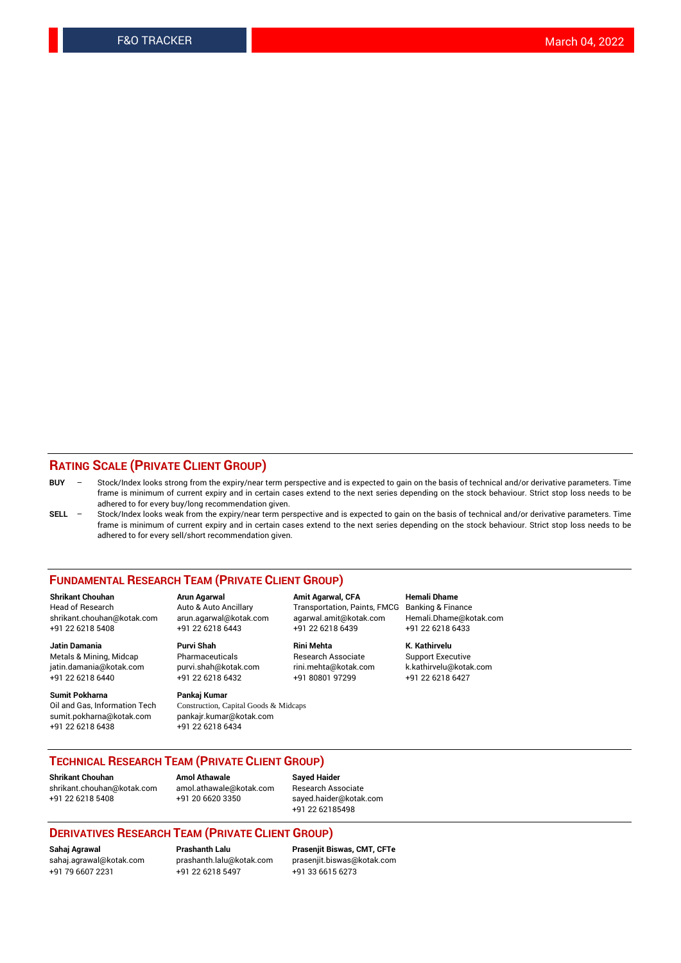### **RATING SCALE (PRIVATE CLIENT GROUP)**

- **BUY**  Stock/Index looks strong from the expiry/near term perspective and is expected to gain on the basis of technical and/or derivative parameters. Time frame is minimum of current expiry and in certain cases extend to the next series depending on the stock behaviour. Strict stop loss needs to be adhered to for every buy/long recommendation given.
- **SELL** Stock/Index looks weak from the expiry/near term perspective and is expected to gain on the basis of technical and/or derivative parameters. Time frame is minimum of current expiry and in certain cases extend to the next series depending on the stock behaviour. Strict stop loss needs to be adhered to for every sell/short recommendation given.

#### **FUNDAMENTAL RESEARCH TEAM (PRIVATE CLIENT GROUP)**

**Shrikant Chouhan Arun Agarwal Amit Agarwal, CFA Hemali Dhame** shrikant.chouhan@kotak.com arun.agarwal@kotak.com agarwal.amit@kotak.com Hemali.Dhame@kotak.com +91 22 6218 5408 +91 22 6218 6443 +91 22 6218 6439 +91 22 6218 6433

jatin.damania@kotak.com +91 22 6218 6440 +91 22 6218 6432 +91 80801 97299 +91 22 6218 6427

**Sumit Pokharna** Pankaj Kumar<br>Oil and Gas, Information Tech Construction, C sumit.pokharna@kotak.com pankajr.kumar@kotak.com +91 22 6218 6438 +91 22 6218 6434

**Jatin Damania Purvi Shah Rini Mehta K. Kathirvelu**

Construction, Capital Goods & Midcaps

Transportation, Paints, FMCG

Metals & Mining, Midcap Pharmaceuticals Pharmaceuticals Research Associate Support Executive<br>
iatin.damania@kotak.com purvi.shah@kotak.com rini.mehta@kotak.com k.kathirvelu@kotak.com

## **TECHNICAL RESEARCH TEAM (PRIVATE CLIENT GROUP)**

**Shrikant Chouhan Amol Athawale Sayed Haider** [shrikant.chouhan@kotak.com](mailto:shrikant.chouhan@kotak.com) [amol.athawale@kotak.com](mailto:amol.athawale@kotak.com) Research Associate

+91 22 6218 5408 +91 20 6620 3350 [sayed.haider@kotak.com](mailto:sayed.haider@kotak.com) +91 22 62185498

#### **DERIVATIVES RESEARCH TEAM (PRIVATE CLIENT GROUP)**

+91 79 6607 2231 +91 22 6218 5497 +91 33 6615 6273

**Sahaj Agrawal Prashanth Lalu Prasenjit Biswas, CMT, CFTe** [prasenjit.biswas@kotak.com](mailto:prasenjit.biswas@kotak.com)